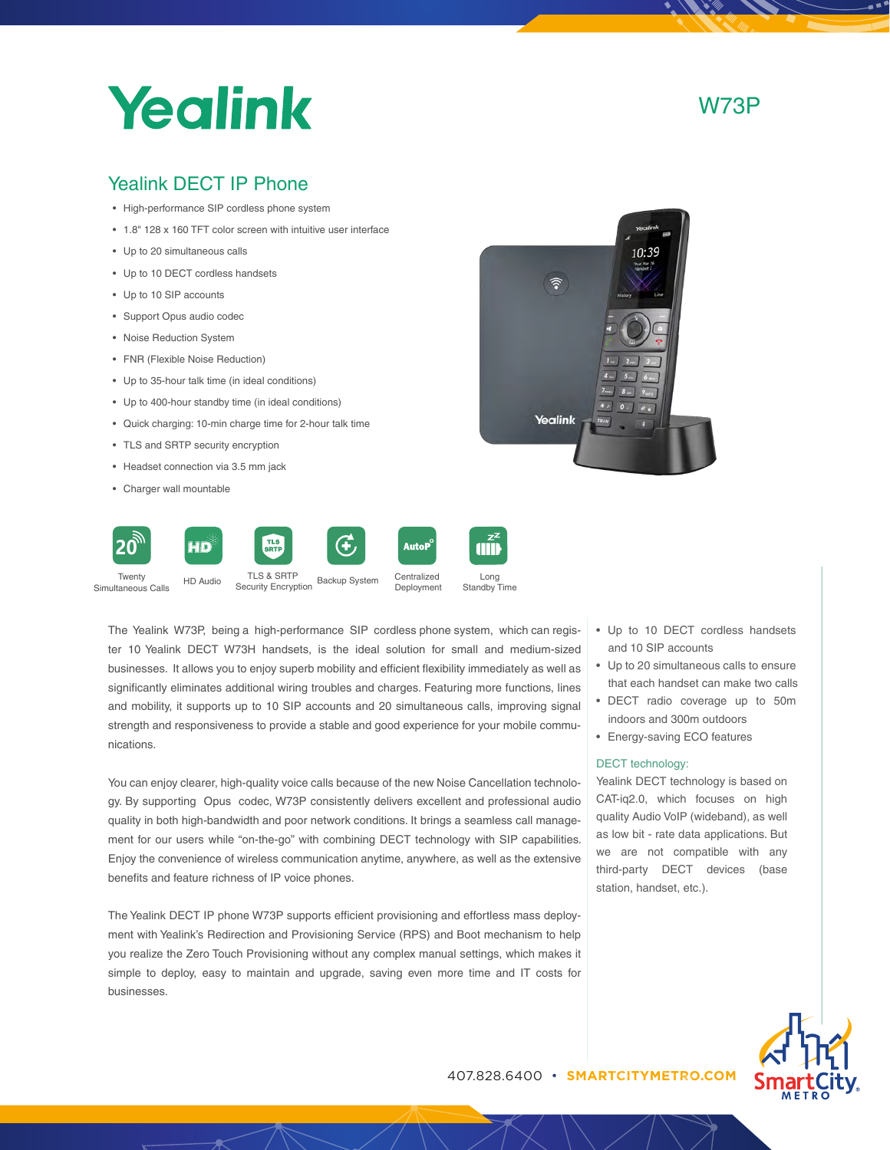## Yealink

W73P

## Yealink DECT IP Phone

- High-performance SIP cordless phone system
- 1.8" 128 x 160 TFT color screen with intuitive user interface
- Up to 20 simultaneous calls
- Up to 10 DECT cordless handsets
- Up to 10 SIP accounts
- Support Opus audio codec
- Noise Reduction System
- FNR (Flexible Noise Reduction)
- Up to 35-hour talk time (in ideal conditions)
- Up to 400-hour standby time (in ideal conditions)
- Quick charging: 10-min charge time for 2-hour talk time
- TLS and SRTP security encryption
- Headset connection via 3.5 mm jack
- Charger wall mountable



The Yealink W73P, being a high-performance SIP cordless phone system, which can register 10 Yealink DECT W73H handsets, is the ideal solution for small and medium-sized businesses. It allows you to enjoy superb mobility and efficient flexibility immediately as well as significantly eliminates additional wiring troubles and charges. Featuring more functions, lines and mobility, it supports up to 10 SIP accounts and 20 simultaneous calls, improving signal strength and responsiveness to provide a stable and good experience for your mobile communications.

You can enjoy clearer, high-quality voice calls because of the new Noise Cancellation technology. By supporting Opus codec, W73P consistently delivers excellent and professional audio quality in both high-bandwidth and poor network conditions. It brings a seamless call management for our users while "on-the-go" with combining DECT technology with SIP capabilities. Enjoy the convenience of wireless communication anytime, anywhere, as well as the extensive benefits and feature richness of IP voice phones.

The Yealink DECT IP phone W73P supports efficient provisioning and effortless mass deployment with Yealink's Redirection and Provisioning Service (RPS) and Boot mechanism to help you realize the Zero Touch Provisioning without any complex manual settings, which makes it simple to deploy, easy to maintain and upgrade, saving even more time and IT costs for businesses.





- Up to 20 simultaneous calls to ensure that each handset can make two calls
- DECT radio coverage up to 50m indoors and 300m outdoors
- Energy-saving ECO features

### DECT technology:

Yealink DECT technology is based on CAT-iq2.0, which focuses on high quality Audio VoIP (wideband), as well as low bit - rate data applications. But we are not compatible with any third-party DECT devices (base station, handset, etc.).



407.828.6400 • **SMARTCITYMETRO.COM** Sr